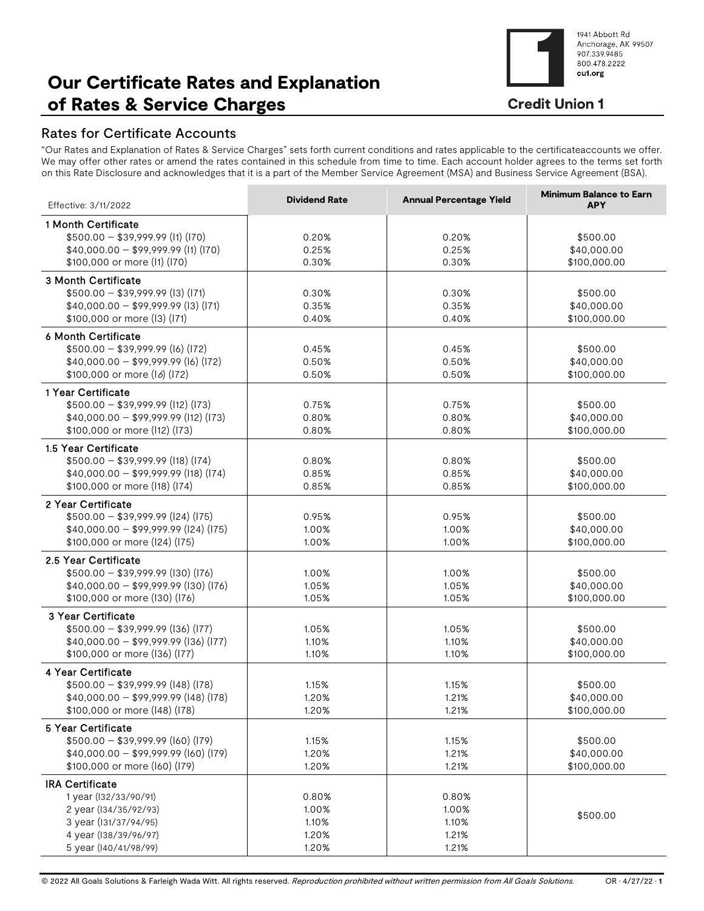

# Our Certificate Rates and Explanation of Rates & Service Charges

# Rates for Certificate Accounts

"Our Rates and Explanation of Rates & Service Charges" sets forth current conditions and rates applicable to the certificateaccounts we offer. We may offer other rates or amend the rates contained in this schedule from time to time. Each account holder agrees to the terms set forth on this Rate Disclosure and acknowledges that it is a part of the Member Service Agreement (MSA) and Business Service Agreement (BSA).

| Effective: 3/11/2022                                                   | <b>Dividend Rate</b> | <b>Annual Percentage Yield</b> | <b>Minimum Balance to Earn</b><br><b>APY</b> |
|------------------------------------------------------------------------|----------------------|--------------------------------|----------------------------------------------|
| 1 Month Certificate                                                    |                      |                                |                                              |
| $$500.00 - $39,999.99$ (I1) (I70)                                      | 0.20%                | 0.20%                          | \$500.00                                     |
| $$40,000.00 - $99,999.99$ (I1) (I70)                                   | 0.25%                | 0.25%                          | \$40,000.00                                  |
| \$100,000 or more (I1) (I70)                                           | 0.30%                | 0.30%                          | \$100,000.00                                 |
| 3 Month Certificate                                                    |                      |                                |                                              |
| $$500.00 - $39,999.99$ (13) (171)                                      | 0.30%                | 0.30%                          | \$500.00                                     |
| $$40,000.00 - $99,999.99$ (13) (171)                                   | 0.35%                | 0.35%                          | \$40,000.00                                  |
| \$100,000 or more (I3) (I71)                                           | 0.40%                | 0.40%                          | \$100,000.00                                 |
| 6 Month Certificate                                                    |                      |                                |                                              |
| $$500.00 - $39,999.99$ (16) (172)                                      | 0.45%                | 0.45%                          | \$500.00                                     |
| $$40,000.00 - $99,999.99$ (16) (172)                                   | 0.50%                | 0.50%                          | \$40,000.00                                  |
| \$100,000 or more (16) (172)                                           | 0.50%                | 0.50%                          | \$100,000.00                                 |
| 1 Year Certificate                                                     |                      |                                |                                              |
| $$500.00 - $39,999.99$ (I12) (I73)                                     | 0.75%                | 0.75%                          | \$500.00                                     |
| $$40,000.00 - $99,999.99$ (112) (173)                                  | 0.80%                | 0.80%                          | \$40,000.00                                  |
| \$100,000 or more (l12) (l73)                                          | 0.80%                | 0.80%                          | \$100,000.00                                 |
| 1.5 Year Certificate                                                   |                      |                                |                                              |
| $$500.00 - $39,999.99$ (l18) (l74)                                     | 0.80%                | 0.80%                          | \$500.00                                     |
| $$40,000.00 - $99,999.99$ (l18) (l74)                                  | 0.85%                | 0.85%                          | \$40,000.00                                  |
| \$100,000 or more (I18) (I74)                                          | 0.85%                | 0.85%                          | \$100,000.00                                 |
| 2 Year Certificate                                                     |                      |                                |                                              |
| $$500.00 - $39,999.99$ (124) (175)                                     | 0.95%                | 0.95%                          | \$500.00                                     |
| $$40,000.00 - $99,999.99$ (124) (175)<br>\$100,000 or more (I24) (I75) | 1.00%<br>1.00%       | 1.00%<br>1.00%                 | \$40,000.00<br>\$100,000.00                  |
|                                                                        |                      |                                |                                              |
| 2.5 Year Certificate<br>$$500.00 - $39,999.99$ (130) (176)             | 1.00%                | 1.00%                          | \$500.00                                     |
| $$40,000.00 - $99,999.99$ (130) (176)                                  | 1.05%                | 1.05%                          | \$40,000.00                                  |
| \$100,000 or more (I30) (I76)                                          | 1.05%                | 1.05%                          | \$100,000.00                                 |
| 3 Year Certificate                                                     |                      |                                |                                              |
| $$500.00 - $39,999.99$ (136) (177)                                     | 1.05%                | 1.05%                          | \$500.00                                     |
| $$40,000.00 - $99,999.99$ (136) (177)                                  | 1.10%                | 1.10%                          | \$40,000.00                                  |
| \$100,000 or more (I36) (I77)                                          | 1.10%                | 1.10%                          | \$100,000.00                                 |
| 4 Year Certificate                                                     |                      |                                |                                              |
| $$500.00 - $39,999.99$ (148) (178)                                     | 1.15%                | 1.15%                          | \$500.00                                     |
| $$40,000.00 - $99,999.99$ (148) (178)                                  | 1.20%                | 1.21%                          | \$40,000.00                                  |
| \$100,000 or more (148) (178)                                          | 1.20%                | 1.21%                          | \$100,000.00                                 |
| 5 Year Certificate                                                     |                      |                                |                                              |
| $$500.00 - $39,999.99$ (160) (179)                                     | 1.15%                | 1.15%                          | \$500.00                                     |
| $$40,000.00 - $99,999.99$ (160) (179)                                  | 1.20%                | 1.21%                          | \$40,000.00                                  |
| \$100,000 or more (160) (179)                                          | 1.20%                | 1.21%                          | \$100,000.00                                 |
| <b>IRA Certificate</b>                                                 |                      |                                |                                              |
| 1 year (132/33/90/91)                                                  | 0.80%                | 0.80%                          |                                              |
| 2 year (134/35/92/93)                                                  | 1.00%                | 1.00%                          | \$500.00                                     |
| 3 year (131/37/94/95)<br>4 year (138/39/96/97)                         | 1.10%<br>1.20%       | 1.10%<br>1.21%                 |                                              |
| 5 year (140/41/98/99)                                                  | 1.20%                | 1.21%                          |                                              |
|                                                                        |                      |                                |                                              |